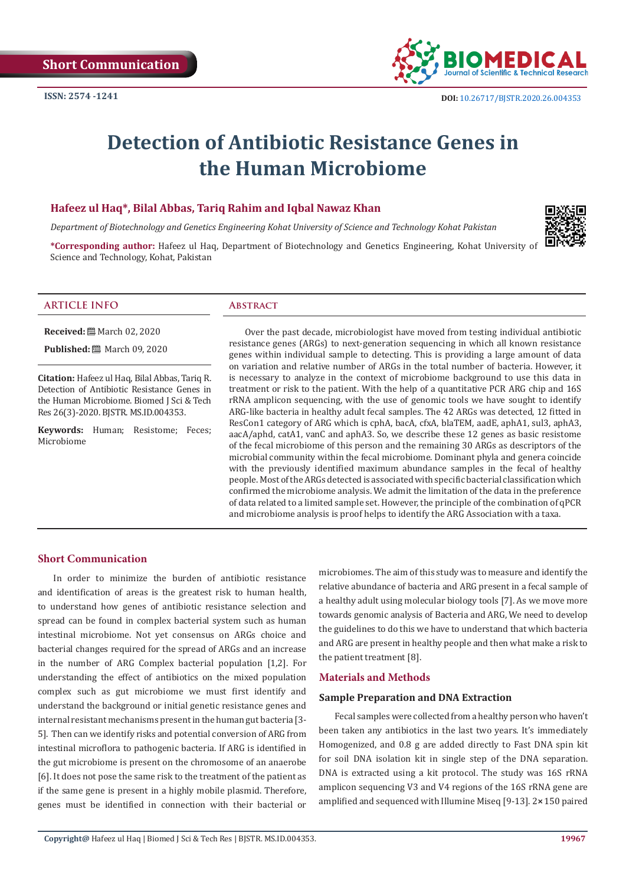

# **Detection of Antibiotic Resistance Genes in the Human Microbiome**

# **Hafeez ul Haq\*, Bilal Abbas, Tariq Rahim and Iqbal Nawaz Khan**

*Department of Biotechnology and Genetics Engineering Kohat University of Science and Technology Kohat Pakistan*

**\*Corresponding author:** Hafeez ul Haq, Department of Biotechnology and Genetics Engineering, Kohat University of Science and Technology, Kohat, Pakistan



# **ARTICLE INFO Abstract**

**Received:** March 02, 2020

**Published:** 圖 March 09, 2020

**Citation:** Hafeez ul Haq, Bilal Abbas, Tariq R. Detection of Antibiotic Resistance Genes in the Human Microbiome. Biomed J Sci & Tech Res 26(3)-2020. BJSTR. MS.ID.004353.

**Keywords:** Human; Resistome; Feces; Microbiome

Over the past decade, microbiologist have moved from testing individual antibiotic resistance genes (ARGs) to next-generation sequencing in which all known resistance genes within individual sample to detecting. This is providing a large amount of data on variation and relative number of ARGs in the total number of bacteria. However, it is necessary to analyze in the context of microbiome background to use this data in treatment or risk to the patient. With the help of a quantitative PCR ARG chip and 16S rRNA amplicon sequencing, with the use of genomic tools we have sought to identify ARG-like bacteria in healthy adult fecal samples. The 42 ARGs was detected, 12 fitted in ResCon1 category of ARG which is cphA, bacA, cfxA, blaTEM, aadE, aphA1, sul3, aphA3, aacA/aphd, catA1, vanC and aphA3. So, we describe these 12 genes as basic resistome of the fecal microbiome of this person and the remaining 30 ARGs as descriptors of the microbial community within the fecal microbiome. Dominant phyla and genera coincide with the previously identified maximum abundance samples in the fecal of healthy people. Most of the ARGs detected is associated with specific bacterial classification which confirmed the microbiome analysis. We admit the limitation of the data in the preference of data related to a limited sample set. However, the principle of the combination of qPCR and microbiome analysis is proof helps to identify the ARG Association with a taxa.

# **Short Communication**

In order to minimize the burden of antibiotic resistance and identification of areas is the greatest risk to human health, to understand how genes of antibiotic resistance selection and spread can be found in complex bacterial system such as human intestinal microbiome. Not yet consensus on ARGs choice and bacterial changes required for the spread of ARGs and an increase in the number of ARG Complex bacterial population [1,2]. For understanding the effect of antibiotics on the mixed population complex such as gut microbiome we must first identify and understand the background or initial genetic resistance genes and internal resistant mechanisms present in the human gut bacteria [3- 5]. Then can we identify risks and potential conversion of ARG from intestinal microflora to pathogenic bacteria. If ARG is identified in the gut microbiome is present on the chromosome of an anaerobe [6]. It does not pose the same risk to the treatment of the patient as if the same gene is present in a highly mobile plasmid. Therefore, genes must be identified in connection with their bacterial or microbiomes. The aim of this study was to measure and identify the relative abundance of bacteria and ARG present in a fecal sample of a healthy adult using molecular biology tools [7]. As we move more towards genomic analysis of Bacteria and ARG, We need to develop the guidelines to do this we have to understand that which bacteria and ARG are present in healthy people and then what make a risk to the patient treatment [8].

#### **Materials and Methods**

#### **Sample Preparation and DNA Extraction**

Fecal samples were collected from a healthy person who haven't been taken any antibiotics in the last two years. It's immediately Homogenized, and 0.8 g are added directly to Fast DNA spin kit for soil DNA isolation kit in single step of the DNA separation. DNA is extracted using a kit protocol. The study was 16S rRNA amplicon sequencing V3 and V4 regions of the 16S rRNA gene are amplified and sequenced with Illumine Miseq [9-13]. 2×150 paired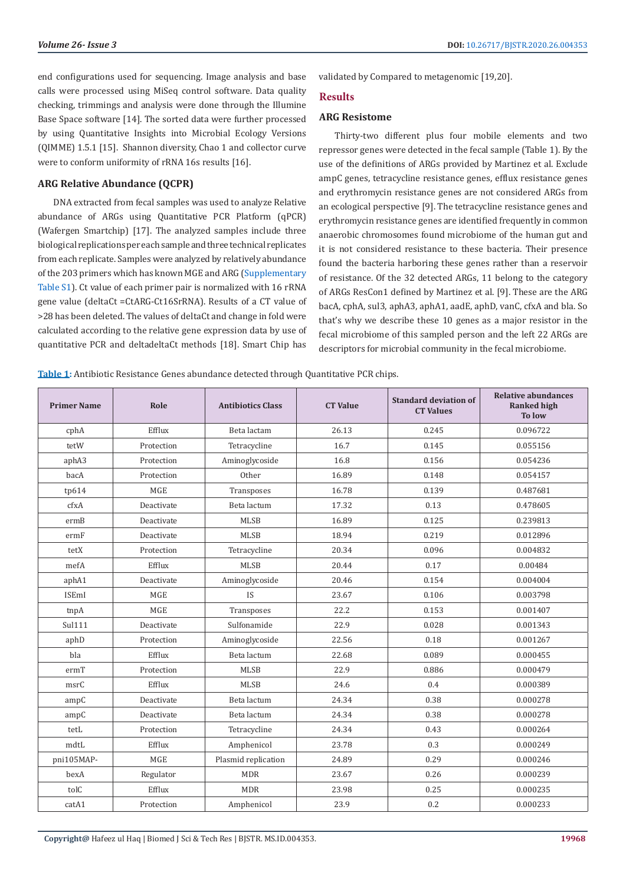end configurations used for sequencing. Image analysis and base calls were processed using MiSeq control software. Data quality checking, trimmings and analysis were done through the Illumine Base Space software [14]. The sorted data were further processed by using Quantitative Insights into Microbial Ecology Versions (QIMME) 1.5.1 [15]. Shannon diversity, Chao 1 and collector curve were to conform uniformity of rRNA 16s results [16].

### **ARG Relative Abundance (QCPR)**

DNA extracted from fecal samples was used to analyze Relative abundance of ARGs using Quantitative PCR Platform (qPCR) (Wafergen Smartchip) [17]. The analyzed samples include three biological replications per each sample and three technical replicates from each replicate. Samples were analyzed by relatively abundance of the 203 primers which has known MGE and ARG ([Supplementary](https://biomedres.us/pdfs/BJSTR.MS.ID.004353-Supplementary-Table.pdf)  [Table S1](https://biomedres.us/pdfs/BJSTR.MS.ID.004353-Supplementary-Table.pdf)). Ct value of each primer pair is normalized with 16 rRNA gene value (deltaCt =CtARG-Ct16SrRNA). Results of a CT value of >28 has been deleted. The values of deltaCt and change in fold were calculated according to the relative gene expression data by use of quantitative PCR and deltadeltaCt methods [18]. Smart Chip has

validated by Compared to metagenomic [19,20].

### **Results**

#### **ARG Resistome**

Thirty-two different plus four mobile elements and two repressor genes were detected in the fecal sample (Table 1). By the use of the definitions of ARGs provided by Martinez et al. Exclude ampC genes, tetracycline resistance genes, efflux resistance genes and erythromycin resistance genes are not considered ARGs from an ecological perspective [9]. The tetracycline resistance genes and erythromycin resistance genes are identified frequently in common anaerobic chromosomes found microbiome of the human gut and it is not considered resistance to these bacteria. Their presence found the bacteria harboring these genes rather than a reservoir of resistance. Of the 32 detected ARGs, 11 belong to the category of ARGs ResCon1 defined by Martinez et al. [9]. These are the ARG bacA, cphA, sul3, aphA3, aphA1, aadE, aphD, vanC, cfxA and bla. So that's why we describe these 10 genes as a major resistor in the fecal microbiome of this sampled person and the left 22 ARGs are descriptors for microbial community in the fecal microbiome.

**Table 1:** Antibiotic Resistance Genes abundance detected through Quantitative PCR chips.

| <b>Primer Name</b> | Role       | <b>Antibiotics Class</b> | <b>CT Value</b> | <b>Standard deviation of</b><br><b>CT Values</b> | <b>Relative abundances</b><br><b>Ranked high</b><br><b>To low</b> |
|--------------------|------------|--------------------------|-----------------|--------------------------------------------------|-------------------------------------------------------------------|
| cphA               | Efflux     | Beta lactam              | 26.13           | 0.245                                            | 0.096722                                                          |
| tetW               | Protection | Tetracycline             | 16.7            | 0.145                                            | 0.055156                                                          |
| aphA3              | Protection | Aminoglycoside           | 16.8            | 0.156                                            | 0.054236                                                          |
| bacA               | Protection | Other                    | 16.89           | 0.148                                            | 0.054157                                                          |
| tp614              | <b>MGE</b> | Transposes               | 16.78           | 0.139                                            | 0.487681                                                          |
| cfxA               | Deactivate | Beta lactum              | 17.32           | 0.13                                             | 0.478605                                                          |
| ermB               | Deactivate | <b>MLSB</b>              | 16.89           | 0.125                                            | 0.239813                                                          |
| ermF               | Deactivate | <b>MLSB</b>              | 18.94           | 0.219                                            | 0.012896                                                          |
| tetX               | Protection | Tetracycline             | 20.34           | 0.096                                            | 0.004832                                                          |
| mefA               | Efflux     | <b>MLSB</b>              | 20.44           | 0.17                                             | 0.00484                                                           |
| aphA1              | Deactivate | Aminoglycoside           | 20.46           | 0.154                                            | 0.004004                                                          |
| <b>ISEmI</b>       | <b>MGE</b> | IS                       | 23.67           | 0.106                                            | 0.003798                                                          |
| tnpA               | <b>MGE</b> | Transposes               | 22.2            | 0.153                                            | 0.001407                                                          |
| Sul111             | Deactivate | Sulfonamide              | 22.9            | 0.028                                            | 0.001343                                                          |
| aphD               | Protection | Aminoglycoside           | 22.56           | 0.18                                             | 0.001267                                                          |
| bla                | Efflux     | Beta lactum              | 22.68           | 0.089                                            | 0.000455                                                          |
| ermT               | Protection | <b>MLSB</b>              | 22.9            | 0.886                                            | 0.000479                                                          |
| msrC               | Efflux     | <b>MLSB</b>              | 24.6            | 0.4                                              | 0.000389                                                          |
| ampC               | Deactivate | Beta lactum              | 24.34           | 0.38                                             | 0.000278                                                          |
| ampC               | Deactivate | Beta lactum              | 24.34           | 0.38                                             | 0.000278                                                          |
| tetL               | Protection | Tetracycline             | 24.34           | 0.43                                             | 0.000264                                                          |
| mdtL               | Efflux     | Amphenicol               | 23.78           | 0.3                                              | 0.000249                                                          |
| pni105MAP-         | <b>MGE</b> | Plasmid replication      | 24.89           | 0.29                                             | 0.000246                                                          |
| bexA               | Regulator  | <b>MDR</b>               | 23.67           | 0.26                                             | 0.000239                                                          |
| tolC               | Efflux     | <b>MDR</b>               | 23.98           | 0.25                                             | 0.000235                                                          |
| catA1              | Protection | Amphenicol               | 23.9            | 0.2                                              | 0.000233                                                          |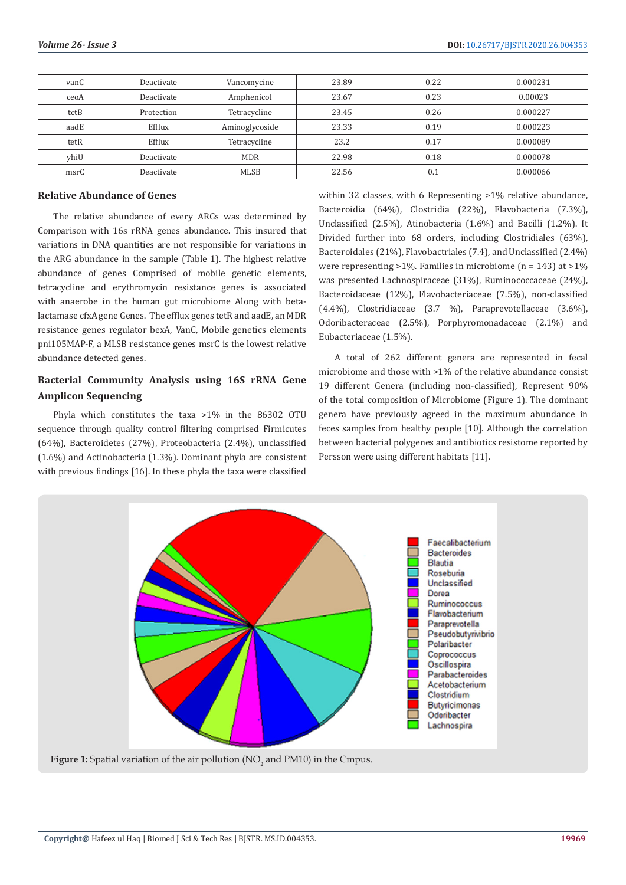| vanC | Deactivate | Vancomycine    | 23.89 | 0.22 | 0.000231 |
|------|------------|----------------|-------|------|----------|
| ceoA | Deactivate | Amphenicol     | 23.67 | 0.23 | 0.00023  |
| tetB | Protection | Tetracycline   | 23.45 | 0.26 | 0.000227 |
| aadE | Efflux     | Aminoglycoside | 23.33 | 0.19 | 0.000223 |
| tetR | Efflux     | Tetracycline   | 23.2  | 0.17 | 0.000089 |
| yhiU | Deactivate | <b>MDR</b>     | 22.98 | 0.18 | 0.000078 |
| msrC | Deactivate | <b>MLSB</b>    | 22.56 | 0.1  | 0.000066 |

#### **Relative Abundance of Genes**

The relative abundance of every ARGs was determined by Comparison with 16s rRNA genes abundance. This insured that variations in DNA quantities are not responsible for variations in the ARG abundance in the sample (Table 1). The highest relative abundance of genes Comprised of mobile genetic elements, tetracycline and erythromycin resistance genes is associated with anaerobe in the human gut microbiome Along with betalactamase cfxA gene Genes. The efflux genes tetR and aadE, an MDR resistance genes regulator bexA, VanC, Mobile genetics elements pni105MAP-F, a MLSB resistance genes msrC is the lowest relative abundance detected genes.

# **Bacterial Community Analysis using 16S rRNA Gene Amplicon Sequencing**

Phyla which constitutes the taxa >1% in the 86302 OTU sequence through quality control filtering comprised Firmicutes (64%), Bacteroidetes (27%), Proteobacteria (2.4%), unclassified (1.6%) and Actinobacteria (1.3%). Dominant phyla are consistent with previous findings [16]. In these phyla the taxa were classified

within 32 classes, with 6 Representing >1% relative abundance, Bacteroidia (64%), Clostridia (22%), Flavobacteria (7.3%), Unclassified (2.5%), Atinobacteria (1.6%) and Bacilli (1.2%). It Divided further into 68 orders, including Clostridiales (63%), Bacteroidales (21%), Flavobactriales (7.4), and Unclassified (2.4%) were representing >1%. Families in microbiome (n = 143) at >1% was presented Lachnospiraceae (31%), Ruminococcaceae (24%), Bacteroidaceae (12%), Flavobacteriaceae (7.5%), non-classified (4.4%), Clostridiaceae (3.7 %), Paraprevotellaceae (3.6%), Odoribacteraceae (2.5%), Porphyromonadaceae (2.1%) and Eubacteriaceae (1.5%).

A total of 262 different genera are represented in fecal microbiome and those with >1% of the relative abundance consist 19 different Genera (including non-classified), Represent 90% of the total composition of Microbiome (Figure 1). The dominant genera have previously agreed in the maximum abundance in feces samples from healthy people [10]. Although the correlation between bacterial polygenes and antibiotics resistome reported by Persson were using different habitats [11].



**Figure 1:** Spatial variation of the air pollution ( $NO<sub>2</sub>$  and  $PM10$ ) in the Cmpus.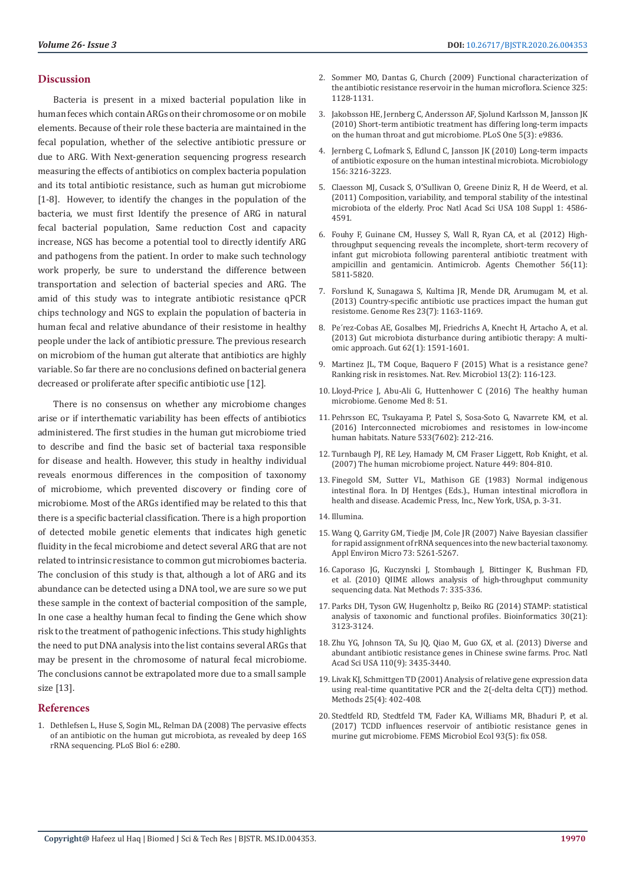#### **Discussion**

Bacteria is present in a mixed bacterial population like in human feces which contain ARGs on their chromosome or on mobile elements. Because of their role these bacteria are maintained in the fecal population, whether of the selective antibiotic pressure or due to ARG. With Next-generation sequencing progress research measuring the effects of antibiotics on complex bacteria population and its total antibiotic resistance, such as human gut microbiome [1-8]. However, to identify the changes in the population of the bacteria, we must first Identify the presence of ARG in natural fecal bacterial population, Same reduction Cost and capacity increase, NGS has become a potential tool to directly identify ARG and pathogens from the patient. In order to make such technology work properly, be sure to understand the difference between transportation and selection of bacterial species and ARG. The amid of this study was to integrate antibiotic resistance qPCR chips technology and NGS to explain the population of bacteria in human fecal and relative abundance of their resistome in healthy people under the lack of antibiotic pressure. The previous research on microbiom of the human gut alterate that antibiotics are highly variable. So far there are no conclusions defined on bacterial genera decreased or proliferate after specific antibiotic use [12].

There is no consensus on whether any microbiome changes arise or if interthematic variability has been effects of antibiotics administered. The first studies in the human gut microbiome tried to describe and find the basic set of bacterial taxa responsible for disease and health. However, this study in healthy individual reveals enormous differences in the composition of taxonomy of microbiome, which prevented discovery or finding core of microbiome. Most of the ARGs identified may be related to this that there is a specific bacterial classification. There is a high proportion of detected mobile genetic elements that indicates high genetic fluidity in the fecal microbiome and detect several ARG that are not related to intrinsic resistance to common gut microbiomes bacteria. The conclusion of this study is that, although a lot of ARG and its abundance can be detected using a DNA tool, we are sure so we put these sample in the context of bacterial composition of the sample, In one case a healthy human fecal to finding the Gene which show risk to the treatment of pathogenic infections. This study highlights the need to put DNA analysis into the list contains several ARGs that may be present in the chromosome of natural fecal microbiome. The conclusions cannot be extrapolated more due to a small sample size [13].

#### **References**

1. [Dethlefsen L, Huse S, Sogin ML, Relman DA \(2008\) The pervasive effects](https://journals.plos.org/plosbiology/article?id=10.1371/journal.pbio.0060280)  [of an antibiotic on the human gut microbiota, as revealed by deep 16S](https://journals.plos.org/plosbiology/article?id=10.1371/journal.pbio.0060280)  [rRNA sequencing. PLoS Biol 6: e280.](https://journals.plos.org/plosbiology/article?id=10.1371/journal.pbio.0060280)

- 2. [Sommer MO, Dantas G, Church \(2009\) Functional characterization of](https://www.ncbi.nlm.nih.gov/pubmed/19713526) [the antibiotic resistance reservoir in the human microflora. Science 325:](https://www.ncbi.nlm.nih.gov/pubmed/19713526) [1128-1131.](https://www.ncbi.nlm.nih.gov/pubmed/19713526)
- 3. [Jakobsson HE, Jernberg C, Andersson AF, Sjolund Karlsson M, Jansson JK](https://www.ncbi.nlm.nih.gov/pubmed/20352091) [\(2010\) Short-term antibiotic treatment has differing long-term impacts](https://www.ncbi.nlm.nih.gov/pubmed/20352091) [on the human throat and gut microbiome. PLoS One 5\(3\): e9836.](https://www.ncbi.nlm.nih.gov/pubmed/20352091)
- 4. [Jernberg C, Lofmark S, Edlund C, Jansson JK \(2010\) Long-term impacts](https://www.ncbi.nlm.nih.gov/pubmed/20705661) [of antibiotic exposure on the human intestinal microbiota. Microbiology](https://www.ncbi.nlm.nih.gov/pubmed/20705661) [156: 3216-3223.](https://www.ncbi.nlm.nih.gov/pubmed/20705661)
- 5. [Claesson MJ, Cusack S, O'Sullivan O, Greene Diniz R, H de Weerd, et al.](https://www.ncbi.nlm.nih.gov/pubmed/20571116) [\(2011\) Composition, variability, and temporal stability of the intestinal](https://www.ncbi.nlm.nih.gov/pubmed/20571116) [microbiota of the elderly. Proc Natl Acad Sci USA 108 Suppl 1: 4586-](https://www.ncbi.nlm.nih.gov/pubmed/20571116) [4591.](https://www.ncbi.nlm.nih.gov/pubmed/20571116)
- 6. [Fouhy F, Guinane CM, Hussey S, Wall R, Ryan CA, et al. \(2012\) High](https://www.ncbi.nlm.nih.gov/pmc/articles/PMC3486619/)[throughput sequencing reveals the incomplete, short-term recovery of](https://www.ncbi.nlm.nih.gov/pmc/articles/PMC3486619/) [infant gut microbiota following parenteral antibiotic treatment with](https://www.ncbi.nlm.nih.gov/pmc/articles/PMC3486619/) [ampicillin and gentamicin. Antimicrob. Agents Chemother 56\(11\):](https://www.ncbi.nlm.nih.gov/pmc/articles/PMC3486619/) [5811-5820.](https://www.ncbi.nlm.nih.gov/pmc/articles/PMC3486619/)
- 7. [Forslund K, Sunagawa S, Kultima JR, Mende DR, Arumugam M, et al.](https://www.ncbi.nlm.nih.gov/pubmed/23568836) [\(2013\) Country-specific antibiotic use practices impact the human gut](https://www.ncbi.nlm.nih.gov/pubmed/23568836) [resistome. Genome Res 23\(7\): 1163-1169.](https://www.ncbi.nlm.nih.gov/pubmed/23568836)
- 8. [Pe´rez-Cobas AE, Gosalbes MJ, Friedrichs A, Knecht H, Artacho A, et al.](https://www.ncbi.nlm.nih.gov/pubmed/23236009) [\(2013\) Gut microbiota disturbance during antibiotic therapy: A multi](https://www.ncbi.nlm.nih.gov/pubmed/23236009)[omic approach. Gut 62\(1\): 1591-1601.](https://www.ncbi.nlm.nih.gov/pubmed/23236009)
- 9. [Martinez JL, TM Coque, Baquero F \(2015\) What is a resistance gene?](https://www.ncbi.nlm.nih.gov/pubmed/25534811) [Ranking risk in resistomes. Nat. Rev. Microbiol 13\(2\): 116-123.](https://www.ncbi.nlm.nih.gov/pubmed/25534811)
- 10. [Lloyd-Price J, Abu-Ali G, Huttenhower C \(2016\) The healthy human](https://genomemedicine.biomedcentral.com/articles/10.1186/s13073-016-0307-y) [microbiome. Genome Med 8: 51.](https://genomemedicine.biomedcentral.com/articles/10.1186/s13073-016-0307-y)
- 11. [Pehrsson EC, Tsukayama P, Patel S, Sosa-Soto G, Navarrete KM, et al.](https://www.ncbi.nlm.nih.gov/pubmed/27172044) [\(2016\) Interconnected microbiomes and resistomes in low-income](https://www.ncbi.nlm.nih.gov/pubmed/27172044) [human habitats. Nature 533\(7602\): 212-216.](https://www.ncbi.nlm.nih.gov/pubmed/27172044)
- 12. [Turnbaugh PJ, RE Ley, Hamady M, CM Fraser Liggett, Rob Knight, et al.](https://www.nature.com/articles/nature06244) [\(2007\) The human microbiome project. Nature 449: 804-810.](https://www.nature.com/articles/nature06244)
- 13. Finegold SM, Sutter VL, Mathison GE (1983) Normal indigenous intestinal flora. In DJ Hentges (Eds.)., Human intestinal microflora in health and disease. Academic Press, Inc., New York, USA, p. 3-31.
- 14. Illumina.
- 15. [Wang Q, Garrity GM, Tiedje JM, Cole JR \(2007\) Naive Bayesian classifier](https://www.ncbi.nlm.nih.gov/pubmed/17586664) [for rapid assignment of rRNA sequences into the new bacterial taxonomy.](https://www.ncbi.nlm.nih.gov/pubmed/17586664) [Appl Environ Micro 73: 5261-5267.](https://www.ncbi.nlm.nih.gov/pubmed/17586664)
- 16. [Caporaso JG, Kuczynski J, Stombaugh J, Bittinger K, Bushman FD,](https://www.ncbi.nlm.nih.gov/pmc/articles/PMC3156573/) [et al. \(2010\) QIIME allows analysis of high-throughput community](https://www.ncbi.nlm.nih.gov/pmc/articles/PMC3156573/) [sequencing data. Nat Methods 7: 335-336.](https://www.ncbi.nlm.nih.gov/pmc/articles/PMC3156573/)
- 17. [Parks DH, Tyson GW, Hugenholtz p, Beiko RG \(2014\) STAMP: statistical](https://www.ncbi.nlm.nih.gov/pubmed/25061070) [analysis of taxonomic and functional profiles. Bioinformatics 30\(21\):](https://www.ncbi.nlm.nih.gov/pubmed/25061070) [3123-3124.](https://www.ncbi.nlm.nih.gov/pubmed/25061070)
- 18. [Zhu YG, Johnson TA, Su JQ, Qiao M, Guo GX, et al. \(2013\) Diverse and](https://www.pnas.org/content/110/9/3435) [abundant antibiotic resistance genes in Chinese swine farms. Proc. Natl](https://www.pnas.org/content/110/9/3435) [Acad Sci USA 110\(9\): 3435-3440.](https://www.pnas.org/content/110/9/3435)
- 19. [Livak KJ, Schmittgen TD \(2001\) Analysis of relative gene expression data](https://www.ncbi.nlm.nih.gov/pubmed/11846609) [using real-time quantitative PCR and the 2\(-delta delta C\(T\)\) method.](https://www.ncbi.nlm.nih.gov/pubmed/11846609) [Methods 25\(4\): 402-408.](https://www.ncbi.nlm.nih.gov/pubmed/11846609)
- 20. [Stedtfeld RD, Stedtfeld TM, Fader KA, Williams MR, Bhaduri P, et al.](https://www.ncbi.nlm.nih.gov/pubmed/28475713) [\(2017\) TCDD influences reservoir of antibiotic resistance genes in](https://www.ncbi.nlm.nih.gov/pubmed/28475713) [murine gut microbiome. FEMS Microbiol Ecol 93\(5\): fix 058.](https://www.ncbi.nlm.nih.gov/pubmed/28475713)